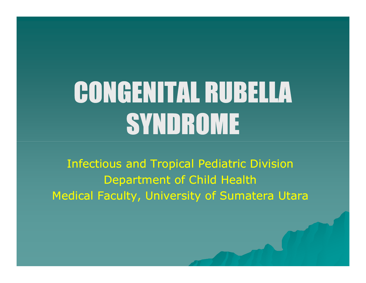# CONGENITAL RUBELLA SYNDROME

Infectious and Tropical Pediatric Division<br>Repartment of Child Health Department of Child HealthMedical Faculty, University of Sumatera Utara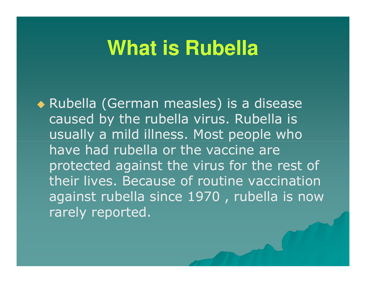#### **What is Rubella**

◆ Rubella (German measles) is a disease caused by the rubella virus. Rubella is usually a mild illness. Most people who have had rubella or the vaccine are protected against the virus for the rest of their lives. Because of routine vaccination against rubella since 1970 , rubella is now rarely reported.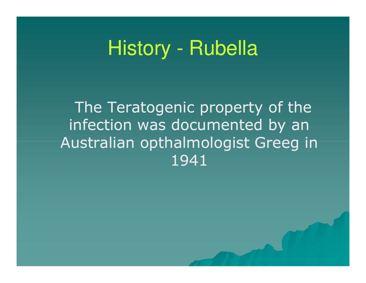### History - Rubella

The Teratogenic property of the infection was documented by an Australian opthalmologist Greeg in 1941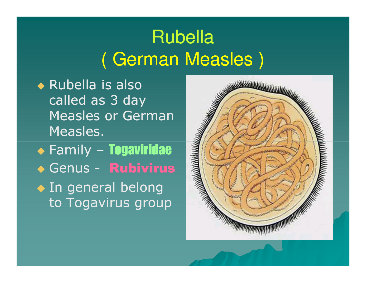#### Rubella( German Measles )

◆ Rubella is also called as 3 day Measles or German Measles. Family – Togaviridae ◆ Genus - Rubivirus ◆ In general belong to Togavirus group

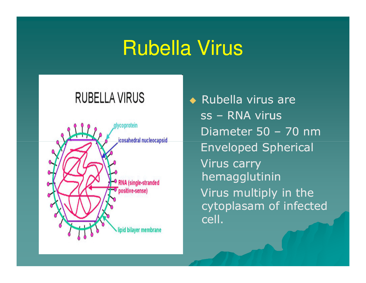#### Rubella Virus

#### **RUBELLA VIRUS**



◆ Rubella virus are ss – RNA virus Diameter 50 – 70 nm Enveloped SphericalVirus carry hemagglutinin Virus multiply in the cytoplasam of infected cell.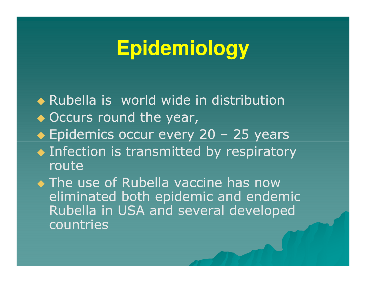### **Epidemiology**

 Rubella is world wide in distribution ◆ Occurs round the year, ◆ Epidemics occur every 20 - 25 years ◆ Infection is transmitted by respiratory routeThe use of Rubella vaccine has now<br>Climinated heth enidemic and ender eliminated both epidemic and endemic Rubella in USA and several developed countries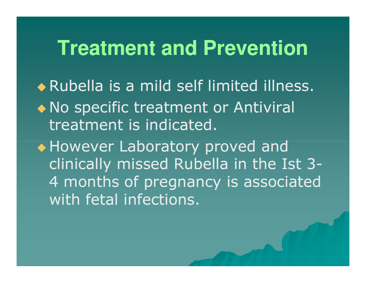#### **Treatment and Prevention**

 Rubella is a mild self limited illness. • No specific treatment or Antiviral treatment is indicated.

◆ However Laboratory proved and clinically missed Rubella in the Ist 3-4 months of pregnancy is associated with fetal infections.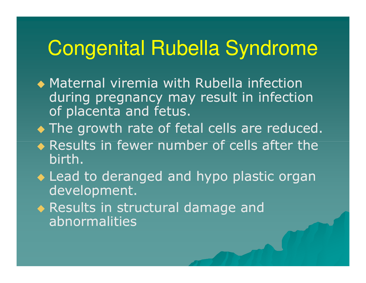#### Congenital Rubella Syndrome

- ◆ Maternal viremia with Rubella infection during pregnancy may result in infection of placenta and fetus.
- ◆ The growth rate of fetal cells are reduced.
- ◆ Results in fewer number of cells after the birth.
- Lead to deranged and hypo plastic organ development.
- Results in structural damage and abnormalities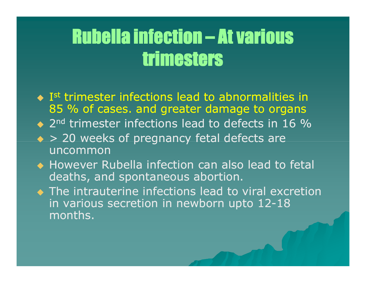#### Rubella infection – At various<br>\*\*\*\*\*\*\*\*\*\*\*\*\* trimesters

- $\bullet$  I<sup>st</sup> trimester infections lead to abnormalities in  $\bullet$ 85 % of cases. and greater damage to organs
- ◆ 2<sup>nd</sup> trimester infections lead to defects in 16 %
- ◆ > 20 weeks of pregnancy fetal defects are uncommon
- ◆ However Rubella infection can also lead to fetal deaths, and spontaneous abortion.
- The intrauterine infections lead to viral excretion in various secretion in newborn upto 12-18<br>manths months.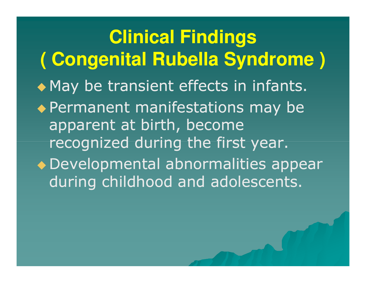**Clinical Findings ( Congenital Rubella Syndrome )**◆ May be transient effects in infants. ◆ Permanent manifestations may be apparent at birth, become recognized during the first year. Developmental abnormalities appear during childhood and adolescents.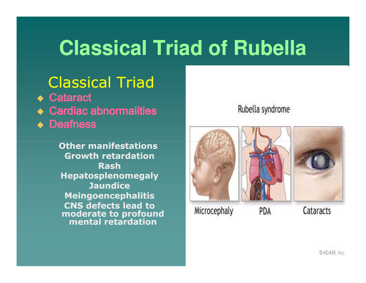### **Classical Triad of Rubella**

#### Classical Triad

- ◆ Cataract
- ◆ Cardiac abnormalities
- ◆ Deafness

Other manifestations Growth retardationRash Hepatosplenomegaly**Jaundice**  Meingoencephalitis CNS defects lead to moderate to profound mental retardation

#### Rubella syndrome

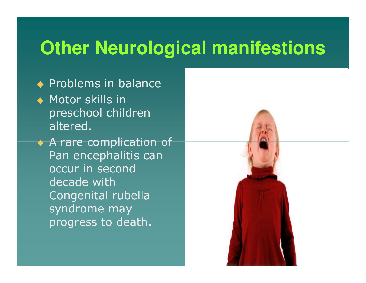#### **Other Neurological manifestions**

- ◆ Problems in balance
- ◆ Motor skills in preschool children altered.

A rare complication of Pan encephalitis can occur in second decade with Congenital rubella syndrome may progress to death.

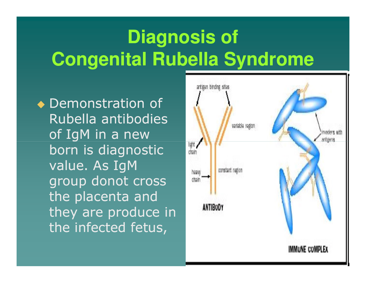### **Diagnosis ofCongenital Rubella Syndrome**

◆ Demonstration of Rubella antibodies of IgM in a new born is diagnostic value. As IgM group donot cross the placenta and they are produce in the infected fetus,

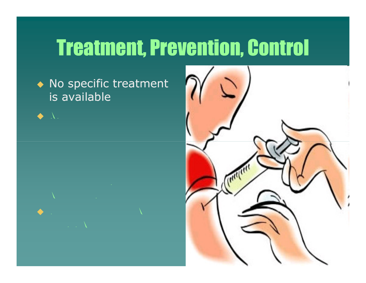## Treatment, Prevention, Control

◆ No specific treatment is available



 $\blacklozenge$